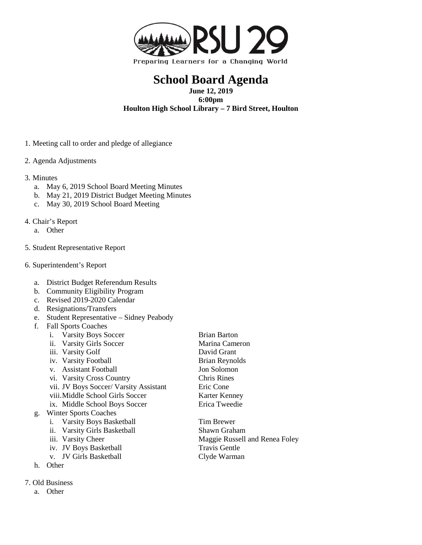

## **School Board Agenda**

**June 12, 2019 6:00pm**

**Houlton High School Library – 7 Bird Street, Houlton**

- 1. Meeting call to order and pledge of allegiance
- 2. Agenda Adjustments
- 3. Minutes
	- a. May 6, 2019 School Board Meeting Minutes
	- b. May 21, 2019 District Budget Meeting Minutes
	- c. May 30, 2019 School Board Meeting
- 4. Chair's Report
	- a. Other
- 5. Student Representative Report
- 6. Superintendent's Report
	- a. District Budget Referendum Results
	- b. Community Eligibility Program
	- c. Revised 2019-2020 Calendar
	- d. Resignations/Transfers
	- e. Student Representative Sidney Peabody
	- f. Fall Sports Coaches
		- i. Varsity Boys Soccer Brian Barton
			- ii. Varsity Girls Soccer Marina Cameron
			- iii. Varsity Golf David Grant
			- iv. Varsity Football Brian Reynolds
			- v. Assistant Football Jon Solomon
			- vi. Varsity Cross Country Chris Rines
			- vii. JV Boys Soccer/ Varsity Assistant Eric Cone
			- viii. Middle School Girls Soccer Karter Kenney
			- ix. Middle School Boys Soccer Erica Tweedie

## g. Winter Sports Coaches

- i. Varsity Boys Basketball Tim Brewer
- ii. Varsity Girls Basketball Shawn Graham<br>
iii. Varsity Cheer Maggie Russell
- 
- iv. JV Boys Basketball
- v. JV Girls Basketball Clyde Warman
- h. Other
- 7. Old Business
	- a. Other
- 
- Maggie Russell and Renea Foley<br>Travis Gentle